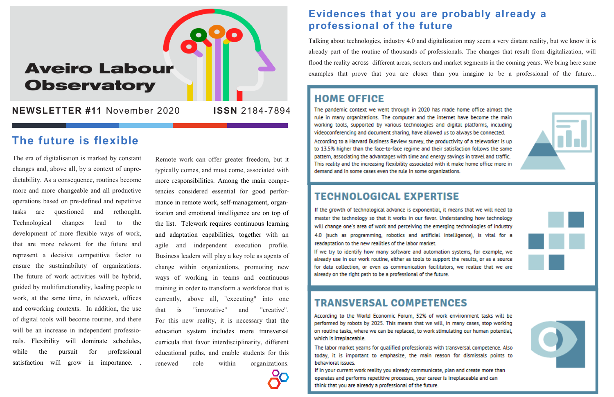The era of digitalisation is marked by constant changes and, above all, by a context of unpredictability. As a consequence, routines become more and more changeable and all productive operations based on pre-defined and repetitive tasks are questioned and rethought. Technological changes lead to the development of more flexible ways of work, that are more relevant for the future and represent a decisive competitive factor to ensure the sustainabiluty of organizations. The future of work activities will be hybrid, guided by multifunctionality, leading people to work, at the same time, in telework, offices and coworking contexts. In addition, the use of digital tools will become routine, and there will be an increase in independent professionals. Flexibility will dominate schedules, while the pursuit for professional satisfaction will grow in importance. .

Remote work can offer greater freedom, but it typically comes, and must come, associated with more responsibilities. Among the main competencies considered essential for good performance in remote work, self-management, organization and emotional intelligence are on top of the list. Telework requires continuous learning and adaptation capabilities, together with an agile and independent execution profile. Business leaders will play a key role as agents of change within organizations, promoting new ways of working in teams and continuous training in order to transform a workforce that is currently, above all, "executing" into one that is "innovative" and "creative". For this new reality, it is necessary that the education system includes more transversal curricula that favor interdisciplinarity, different educational paths, and enable students for this renewed role within organizations.

### **Evidences that you are probably already a professional of the future**

Talking about technologies, industry 4.0 and digitalization may seem a very distant reality, but we know it is already part of the routine of thousands of professionals. The changes that result from digitalization, will flood the reality across different areas, sectors and market segments in the coming years. We bring here some examples that prove that you are closer than you imagine to be a professional of the future...

# **HOME OFFICE**

The pandemic context we went through in 2020 has made home office almost the rule in many organizations. The computer and the internet have become the main working tools, supported by various technologies and digital platforms, including videoconferencing and document sharing, have allowed us to always be connected. According to a Harvard Business Review survey, the productivity of a teleworker is up to 13.5% higher than the face-to-face regime and their satisfaction follows the same pattern, associating the advantages with time and energy savings in travel and traffic. This reality and the increasing flexibility associated with it make home office more in demand and in some cases even the rule in some organizations.

#### **TECHNOLOGICAL EXPERTISE**

If the growth of technological advance is exponential, it means that we will need to master the technology so that it works in our favor. Understanding how technology will change one's area of work and perceiving the emerging technologies of industry 4.0 (such as programming, robotics and artificial intelligence), is vital for a readaptation to the new realities of the labor market. If we try to identify how many software and automation systems, for example, we already use in our work routine, either as tools to support the results, or as a source for data collection, or even as communication facilitators, we realize that we are

already on the right path to be a professional of the future.

### **TRANSVERSAL COMPETENCES**

According to the World Economic Forum, 52% of work environment tasks will be performed by robots by 2025. This means that we will, in many cases, stop working on routine tasks, where we can be replaced, to work stimulating our human potential, which is irreplaceable.

The labor market yearns for qualified professionals with transversal competence. Also today, it is important to emphasize, the main reason for dismissals points to behavioral issues.

If in your current work reality you already communicate, plan and create more than operates and performs repetitive processes, your career is irreplaceable and can think that you are already a professional of the future.





## **The future is flexible**

# **Aveiro Labour Observatory**

**NEWSLETTER #11** November 2020 **ISSN** 2184-7894